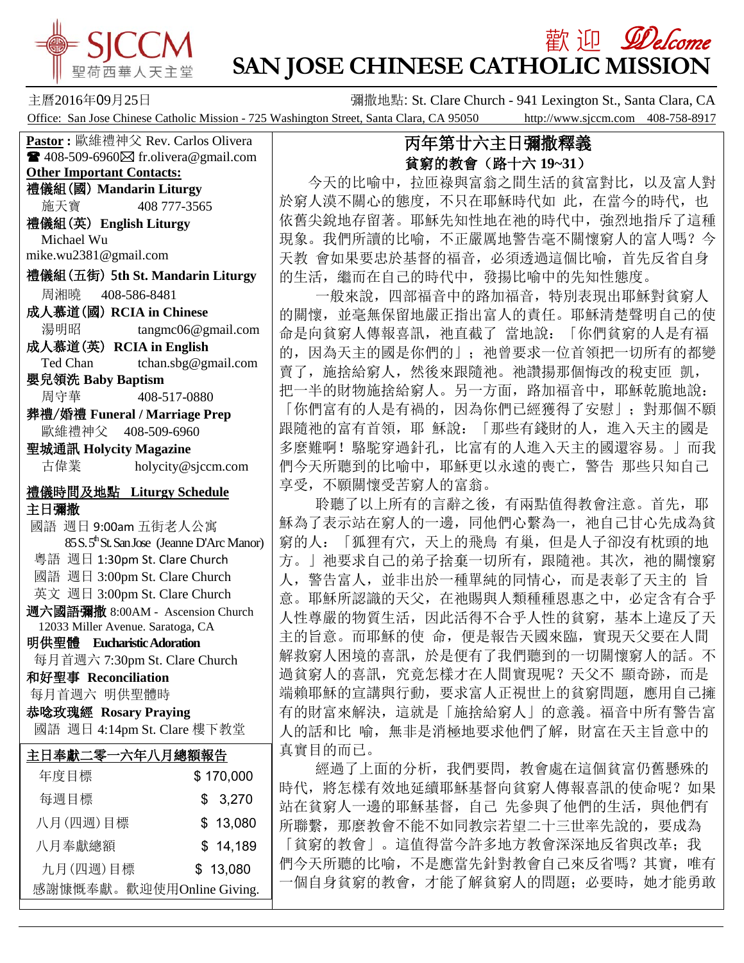

## **歡 迎** *Welcome* **SAN JOSE CHINESE CATHOLIC MISSION**

主曆2016年09月25日 <br>**彌撒地點: St. Clare Church - 941 Lexington St., Santa Clara, CA** Office: San Jose Chinese Catholic Mission - 725 Washington Street, Santa Clara, CA 95050 http://www.sjccm.com 408-758-8917

**Pastor :** 歐維禮神父 Rev. Carlos Olivera  $\blacksquare$  408-509-6960 $\boxtimes$  fr.olivera@gmail.com **Other Important Contacts:** 禮儀組(國) **Mandarin Liturgy** 施天寶 408 777-3565 禮儀組(英) **English Liturgy** Michael Wu mike.wu2381@gmail.com 禮儀組(五街) 5**th St. Mandarin Liturgy** 周湘曉 408-586-8481 成人慕道(國) **RCIA in Chinese** 湯明昭 tangmc06@gmail.com 成人慕道(英) **RCIA in English** Ted Chan tchan.sbg@gmail.com 嬰兒領洗 **Baby Baptism** 周守華 408-517-0880 葬禮/婚禮 **Funeral / Marriage Prep** 歐維禮神父 408-509-6960 聖城通訊 **Holycity Magazine** 古偉業 [holycity@sjccm.com](mailto:holycity@sjccm.com)禮儀時間及地點 **Liturgy Schedule** 主日彌撒 國語 週日 9:00am 五街老人公寓 85 S. 5<sup>th</sup> St. San Jose (Jeanne D'Arc Manor) 粵語 週日 1:30pm St. Clare Church 國語 週日 3:00pm St. Clare Church 英文 週日 3:00pm St. Clare Church 週六國語彌撒 8:00AM - Ascension Church 12033 Miller Avenue. Saratoga, CA 明供聖體 **Eucharistic Adoration** 每月首週六 7:30pm St. Clare Church 和好聖事 **Reconciliation** 每月首週六 明供聖體時 恭唸玫瑰經 **Rosary Praying** 國語 週日 4:14pm St. Clare 樓下教堂j 主日奉獻二零一六年八月總額報告 年度目標 \$ 170,000 每週目標 \$ 3.270 八月(四週)目標 \$ 13,080 八月奉獻總額 \$ 14.189 九月(四週)目標 \$ 13,080

感謝慷慨奉獻。歡迎使用Online Giving.

## 丙年第廿六主日彌撒釋義 貧窮的教會(路十六 **19~31**)

 今天的比喻中,拉匝祿與富翁之間生活的貧富對比,以及富人對 於窮人漠不關心的態度,不只在耶穌時代如此,在當今的時代,也 依舊尖銳地存留著。耶穌先知性地在祂的時代中,強烈地指斥了這種 現象。我們所讀的比喻,不正嚴厲地警告毫不關懷窮人的富人嗎?今 天教 會如果要忠於基督的福音,必須透過這個比喻,首先反省自身 的生活,繼而在自己的時代中,發揚比喻中的先知性態度。

 一般來說,四部福音中的路加福音,特別表現出耶穌對貧窮人 的關懷,並毫無保留地嚴正指出富人的責任。耶穌清楚聲明自己的使 命是向貧窮人傳報喜訊,祂直截了當地說:「你們貧窮的人是有福 的,因為天主的國是你們的」;祂曾要求一位首領把一切所有的都變 賣了,施捨給窮人,然後來跟隨祂。祂讚揚那個悔改的稅吏匝 凱, 把一半的財物施捨給窮人。另一方面,路加福音中,耶穌乾脆地說: 「你們富有的人是有禍的,因為你們已經獲得了安慰」;對那個不願 跟隨祂的富有首領,耶 穌說:「那些有錢財的人,進入天主的國是 多麼難啊!駱駝穿過針孔,比富有的人進入天主的國還容易。」而我 們今天所聽到的比喻中,耶穌更以永遠的喪亡,警告 那些只知自己 享受,不願關懷受苦窮人的富翁。

 聆聽了以上所有的言辭之後,有兩點值得教會注意。首先,耶 穌為了表示站在窮人的一邊,同他們心繫為一,祂自己甘心先成為貧 窮的人:「狐狸有穴,天上的飛鳥 有巢,但是人子卻沒有枕頭的地 方。」祂要求自己的弟子捨棄一切所有,跟隨祂。其次,祂的關懷窮 人,警告富人,並非出於一種單純的同情心,而是表彰了天主的 旨 意。耶穌所認識的天父,在祂賜與人類種種恩惠之中,必定含有合乎 人性尊嚴的物質生活,因此活得不合乎人性的貧窮,基本上違反了天 主的旨意。而耶穌的使 命,便是報告天國來臨,實現天父要在人間 解救窮人困境的喜訊,於是便有了我們聽到的一切關懷窮人的話。不 過貧窮人的喜訊,究竟怎樣才在人間實現呢?天父不 顯奇跡,而是 端賴耶穌的宣講與行動,要求富人正視世上的貧窮問題,應用自己擁 有的財富來解決,這就是「施捨給窮人」的意義。福音中所有警告富 人的話和比 喻,無非是消極地要求他們了解,財富在天主旨意中的 真實目的而已。

 經過了上面的分析,我們要問,教會處在這個貧富仍舊懸殊的 時代,將怎樣有效地延續耶穌基督向貧窮人傳報喜訊的使命呢?如果 站在貧窮人一邊的耶穌基督,自己 先參與了他們的生活,與他們有 所聯繫,那麼教會不能不如同教宗若望二十三世率先說的,要成為 「貧窮的教會」。這值得當今許多地方教會深深地反省與改革;我 們今天所聽的比喻,不是應當先針對教會自己來反省嗎?其實,唯有 一個自身貧窮的教會,才能了解貧窮人的問題;必要時,她才能勇敢